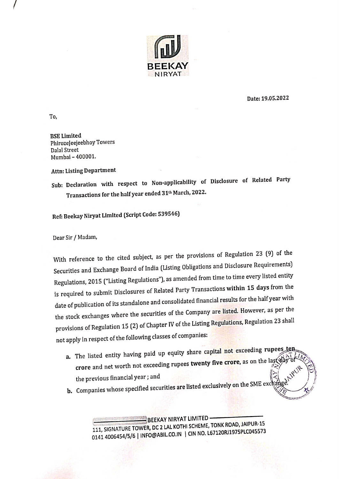

Date: 19.05.2022

 $\mathcal{V}$ 

To,

BSE Limited PhirozeJeejeebhoy Towers Dalal Street Mumbai - 400001.

Attn: Listing Department

Sub: Declaration with respect to Non-applicability of Disclosure of Related Party Transactions for the half year ended 31" March, 2022.

Ref: Beekay Niryat Limited (Script Code: 539546)

Dear Sir / Madam,

With reference to the cited subject, as per the provisions of Regulation 23 (9) of the Securities and Exchange Board of India (Listing Obligations and Disclosure Requirements) Regulations, 2015 ("Listing Regulations"), as amended from time to time every listed entity is required to submit Disclosures of Related Party Transactions within 15 days from the date of publication of its standalone and consolidated financial results for the half year with the stock exchanges where the securities of the Company are listed. However, as per the provisions of Regulation 15 (2) of Chapter IV of the Listing Regulations, Regulation 23 shall not apply in respect of the following classes of companies:

- a. The listed entity having paid up equity share capital not exceeding rupees ten The listed entity having para applies. the previous financial year; and  $\left[\begin{matrix} 1 \ 2 \end{matrix}\right]$ ~ the previous financial year; and<br>**b.** Companies whose specified securities are listed exclusively on the SME exc and
- 

BEEKAY NIRYAT LIMITED BEEKAT NINTAL ENGLES<br>111, SIGNATURE TOWER, DC 2 LAL KOTHI SCHEME, TONK ROAD, JAIPUR-15 0141 4006454/5/6 | INFO@ABIL.CO.IN | CIN NO. L67120RJ1975PLC045573